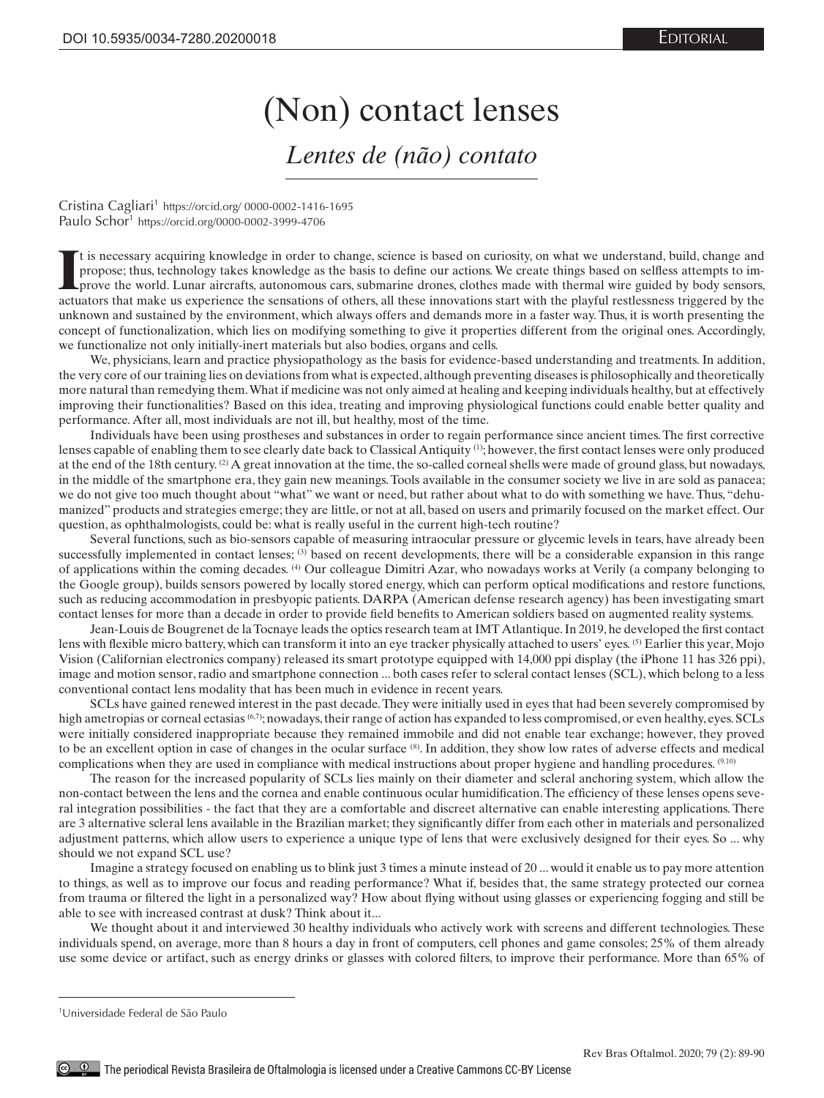## (Non) contact lenses *Lentes de (não) contato*

Cristina Cagliari<sup>1</sup> https://orcid.org/ 0000-0002-1416-1695 Paulo Schor<sup>1</sup> https://orcid.org/0000-0002-3999-4706

If is necessary acquiring knowledge in order to change, science is based on curiosity, on what we understand, build, change and propose; thus, technology takes knowledge as the basis to define our actions. We create things t is necessary acquiring knowledge in order to change, science is based on curiosity, on what we understand, build, change and propose; thus, technology takes knowledge as the basis to define our actions. We create things based on selfless attempts to improve the world. Lunar aircrafts, autonomous cars, submarine drones, clothes made with thermal wire guided by body sensors, unknown and sustained by the environment, which always offers and demands more in a faster way. Thus, it is worth presenting the concept of functionalization, which lies on modifying something to give it properties different from the original ones. Accordingly, we functionalize not only initially-inert materials but also bodies, organs and cells.

We, physicians, learn and practice physiopathology as the basis for evidence-based understanding and treatments. In addition, the very core of our training lies on deviations from what is expected, although preventing diseases is philosophically and theoretically more natural than remedying them. What if medicine was not only aimed at healing and keeping individuals healthy, but at effectively improving their functionalities? Based on this idea, treating and improving physiological functions could enable better quality and performance. After all, most individuals are not ill, but healthy, most of the time.

Individuals have been using prostheses and substances in order to regain performance since ancient times. The first corrective lenses capable of enabling them to see clearly date back to Classical Antiquity (1); however, the first contact lenses were only produced at the end of the 18th century. (2) A great innovation at the time, the so-called corneal shells were made of ground glass, but nowadays, in the middle of the smartphone era, they gain new meanings. Tools available in the consumer society we live in are sold as panacea; we do not give too much thought about "what" we want or need, but rather about what to do with something we have. Thus, "dehumanized" products and strategies emerge; they are little, or not at all, based on users and primarily focused on the market effect. Our question, as ophthalmologists, could be: what is really useful in the current high-tech routine?

Several functions, such as bio-sensors capable of measuring intraocular pressure or glycemic levels in tears, have already been successfully implemented in contact lenses; (3) based on recent developments, there will be a considerable expansion in this range of applications within the coming decades. (4) Our colleague Dimitri Azar, who nowadays works at Verily (a company belonging to the Google group), builds sensors powered by locally stored energy, which can perform optical modifications and restore functions, such as reducing accommodation in presbyopic patients. DARPA (American defense research agency) has been investigating smart contact lenses for more than a decade in order to provide field benefits to American soldiers based on augmented reality systems.

Jean-Louis de Bougrenet de la Tocnaye leads the optics research team at IMT Atlantique. In 2019, he developed the first contact lens with flexible micro battery, which can transform it into an eye tracker physically attached to users' eyes. (5) Earlier this year, Mojo Vision (Californian electronics company) released its smart prototype equipped with 14,000 ppi display (the iPhone 11 has 326 ppi), image and motion sensor, radio and smartphone connection ... both cases refer to scleral contact lenses (SCL), which belong to a less conventional contact lens modality that has been much in evidence in recent years.

SCLs have gained renewed interest in the past decade. They were initially used in eyes that had been severely compromised by high ametropias or corneal ectasias (6,7); nowadays, their range of action has expanded to less compromised, or even healthy, eyes. SCLs were initially considered inappropriate because they remained immobile and did not enable tear exchange; however, they proved to be an excellent option in case of changes in the ocular surface (8). In addition, they show low rates of adverse effects and medical complications when they are used in compliance with medical instructions about proper hygiene and handling procedures. <sup>(9.10)</sup>

The reason for the increased popularity of SCLs lies mainly on their diameter and scleral anchoring system, which allow the non-contact between the lens and the cornea and enable continuous ocular humidification. The efficiency of these lenses opens several integration possibilities - the fact that they are a comfortable and discreet alternative can enable interesting applications. There are 3 alternative scleral lens available in the Brazilian market; they significantly differ from each other in materials and personalized adjustment patterns, which allow users to experience a unique type of lens that were exclusively designed for their eyes. So ... why should we not expand SCL use?

Imagine a strategy focused on enabling us to blink just 3 times a minute instead of 20 ... would it enable us to pay more attention to things, as well as to improve our focus and reading performance? What if, besides that, the same strategy protected our cornea from trauma or filtered the light in a personalized way? How about flying without using glasses or experiencing fogging and still be able to see with increased contrast at dusk? Think about it...

We thought about it and interviewed 30 healthy individuals who actively work with screens and different technologies. These individuals spend, on average, more than 8 hours a day in front of computers, cell phones and game consoles; 25% of them already use some device or artifact, such as energy drinks or glasses with colored filters, to improve their performance. More than 65% of

<sup>1</sup> Universidade Federal de São Paulo